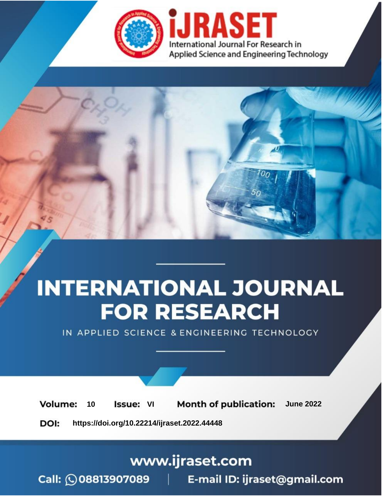

# **INTERNATIONAL JOURNAL FOR RESEARCH**

IN APPLIED SCIENCE & ENGINEERING TECHNOLOGY

**Month of publication: Volume:** 10 **Issue: VI June 2022** 

DOI: https://doi.org/10.22214/ijraset.2022.44448

www.ijraset.com

Call: 008813907089 | E-mail ID: ijraset@gmail.com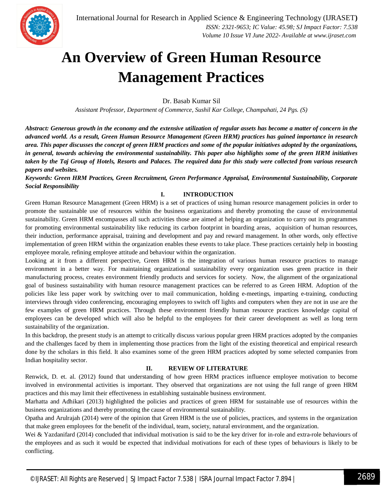

### **An Overview of Green Human Resource Management Practices**

Dr. Basab Kumar Sil

*Assistant Professor, Department of Commerce, Sushil Kar College, Champahati, 24 Pgs. (S)*

*Abstract: Generous growth in the economy and the extensive utilization of regular assets has become a matter of concern in the advanced world. As a result, Green Human Resource Management (Green HRM) practices has gained importance in research area. This paper discusses the concept of green HRM practices and some of the popular initiatives adopted by the organizations, in general, towards achieving the environmental sustainability. This paper also highlights some of the green HRM initiatives taken by the Taj Group of Hotels, Resorts and Palaces. The required data for this study were collected from various research papers and websites.* 

*Keywords: Green HRM Practices, Green Recruitment, Green Performance Appraisal, Environmental Sustainability, Corporate Social Responsibility*

#### **I. INTRODUCTION**

Green Human Resource Management (Green HRM) is a set of practices of using human resource management policies in order to promote the sustainable use of resources within the business organizations and thereby promoting the cause of environmental sustainability. Green HRM encompasses all such activities those are aimed at helping an organization to carry out its programmes for promoting environmental sustainability like reducing its carbon footprint in boarding areas, acquisition of human resources, their induction, performance appraisal, training and development and pay and reward management. In other words, only effective implementation of green HRM within the organization enables these events to take place. These practices certainly help in boosting employee morale, refining employee attitude and behaviour within the organization.

Looking at it from a different perspective, Green HRM is the integration of various human resource practices to manage environment in a better way. For maintaining organizational sustainability every organization uses green practice in their manufacturing process, creates environment friendly products and services for society. Now, the alignment of the organizational goal of business sustainability with human resource management practices can be referred to as Green HRM. Adoption of the policies like less paper work by switching over to mail communication, holding e-meetings, imparting e-training, conducting interviews through video conferencing, encouraging employees to switch off lights and computers when they are not in use are the few examples of green HRM practices. Through these environment friendly human resource practices knowledge capital of employees can be developed which will also be helpful to the employees for their career development as well as long term sustainability of the organization.

In this backdrop, the present study is an attempt to critically discuss various popular green HRM practices adopted by the companies and the challenges faced by them in implementing those practices from the light of the existing theoretical and empirical research done by the scholars in this field. It also examines some of the green HRM practices adopted by some selected companies from Indian hospitality sector.

#### **II. REVIEW OF LITERATURE**

Renwick, D. et. al. (2012) found that understanding of how green HRM practices influence employee motivation to become involved in environmental activities is important. They observed that organizations are not using the full range of green HRM practices and this may limit their effectiveness in establishing sustainable business environment.

Marhatta and Adhikari (2013) highlighted the policies and practices of green HRM for sustainable use of resources within the business organizations and thereby promoting the cause of environmental sustainability.

Opatha and Arulrajah (2014) were of the opinion that Green HRM is the use of policies, practices, and systems in the organization that make green employees for the benefit of the individual, team, society, natural environment, and the organization.

Wei & Yazdanifard (2014) concluded that individual motivation is said to be the key driver for in-role and extra-role behaviours of the employees and as such it would be expected that individual motivations for each of these types of behaviours is likely to be conflicting.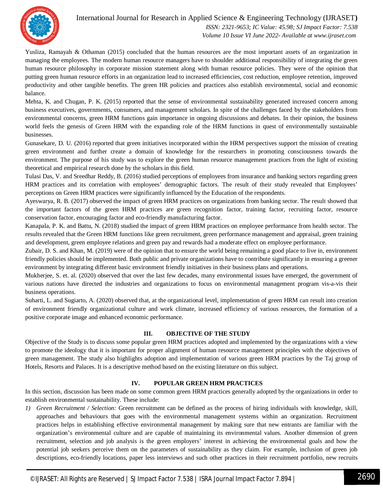

International Journal for Research in Applied Science & Engineering Technology (IJRASET**)**  *ISSN: 2321-9653; IC Value: 45.98; SJ Impact Factor: 7.538 Volume 10 Issue VI June 2022- Available at www.ijraset.com*

Yusliza, Ramayah & Othaman (2015) concluded that the human resources are the most important assets of an organization in managing the employees. The modern human resource managers have to shoulder additional responsibility of integrating the green human resource philosophy in corporate mission statement along with human resource policies. They were of the opinion that putting green human resource efforts in an organization lead to increased efficiencies, cost reduction, employee retention, improved productivity and other tangible benefits. The green HR policies and practices also establish environmental, social and economic balance.

Mehta, K. and Chugan, P. K. (2015) reported that the sense of environmental sustainability generated increased concern among business executives, governments, consumers, and management scholars. In spite of the challenges faced by the stakeholders from environmental concerns, green HRM functions gain importance in ongoing discussions and debates. In their opinion, the business world feels the genesis of Green HRM with the expanding role of the HRM functions in quest of environmentally sustainable businesses.

Gunasekare, D. U. (2016) reported that green initiatives incorporated within the HRM perspectives support the mission of creating green environment and further create a domain of knowledge for the researchers in promoting consciousness towards the environment. The purpose of his study was to explore the green human resource management practices from the light of existing theoretical and empirical research done by the scholars in this field.

Tulasi Das, V. and Sreedhar Reddy, B. (2016) studied perceptions of employees from insurance and banking sectors regarding green HRM practices and its correlation with employees' demographic factors. The result of their study revealed that Employees' perceptions on Green HRM practices were significantly influenced by the Education of the respondents.

Ayeswarya, R. B. (2017) observed the impact of green HRM practices on organizations from banking sector. The result showed that the important factors of the green HRM practices are green recognition factor, training factor, recruiting factor, resource conservation factor, encouraging factor and eco-friendly manufacturing factor.

Kanapala, P. K. and Battu, N. (2018) studied the impact of green HRM practices on employee performance from health sector. The results revealed that the Green HRM functions like green recruitment, green performance management and appraisal, green training and development, green employee relations and green pay and rewards had a moderate effect on employee performance.

Zubair, D. S. and Khan, M. (2019) were of the opinion that to ensure the world being remaining a good place to live in, environment friendly policies should be implemented. Both public and private organizations have to contribute significantly in ensuring a greener environment by integrating different basic environment friendly initiatives in their business plans and operations.

Mukherjee, S. et. al. (2020) observed that over the last few decades, many environmental issues have emerged, the government of various nations have directed the industries and organizations to focus on environmental management program vis-a-vis their business operations.

Suharti, L. and Sugiarto, A. (2020) observed that, at the organizational level, implementation of green HRM can result into creation of environment friendly organizational culture and work climate, increased efficiency of various resources, the formation of a positive corporate image and enhanced economic performance.

#### **III. OBJECTIVE OF THE STUDY**

Objective of the Study is to discuss some popular green HRM practices adopted and implemented by the organizations with a view to promote the ideology that it is important for proper alignment of human resource management principles with the objectives of green management. The study also highlights adoption and implementation of various green HRM practices by the Taj group of Hotels, Resorts and Palaces. It is a descriptive method based on the existing literature on this subject.

#### **IV. POPULAR GREEN HRM PRACTICES**

In this section, discussion has been made on some common green HRM practices generally adopted by the organizations in order to establish environmental sustainability. These include:

*1) Green Recruitment / Selection:* Green recruitment can be defined as the process of hiring individuals with knowledge, skill, approaches and behaviours that goes with the environmental management systems within an organization. Recruitment practices helps in establishing effective environmental management by making sure that new entrants are familiar with the organization's environmental culture and are capable of maintaining its environmental values. Another dimension of green recruitment, selection and job analysis is the green employers' interest in achieving the environmental goals and how the potential job seekers perceive them on the parameters of sustainability as they claim. For example, inclusion of green job descriptions, eco-friendly locations, paper less interviews and such other practices in their recruitment portfolio, new recruits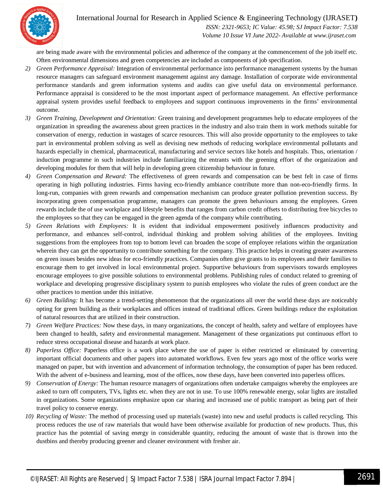

International Journal for Research in Applied Science & Engineering Technology (IJRASET**)**  *ISSN: 2321-9653; IC Value: 45.98; SJ Impact Factor: 7.538*

 *Volume 10 Issue VI June 2022- Available at www.ijraset.com*

are being made aware with the environmental policies and adherence of the company at the commencement of the job itself etc. Often environmental dimensions and green competencies are included as components of job specification.

- *2) Green Performance Appraisal:* Integration of environmental performance into performance management systems by the human resource managers can safeguard environment management against any damage. Installation of corporate wide environmental performance standards and green information systems and audits can give useful data on environmental performance. Performance appraisal is considered to be the most important aspect of performance management. An effective performance appraisal system provides useful feedback to employees and support continuous improvements in the firms' environmental outcome.
- *3) Green Training, Development and Orientation:* Green training and development programmes help to educate employees of the organization in spreading the awareness about green practices in the industry and also train them in work methods suitable for conservation of energy, reduction in wastages of scarce resources. This will also provide opportunity to the employees to take part in environmental problem solving as well as devising new methods of reducing workplace environmental pollutants and hazards especially in chemical, pharmaceutical, manufacturing and service sectors like hotels and hospitals. Thus, orientation / induction programme in such industries include familiarizing the entrants with the greening effort of the organization and developing modules for them that will help in developing green citizenship behaviour in future.
- *4) Green Compensation and Reward:* The effectiveness of green rewards and compensation can be best felt in case of firms operating in high polluting industries. Firms having eco-friendly ambiance contribute more than non-eco-friendly firms. In long-run, companies with green rewards and compensation mechanism can produce greater pollution prevention success. By incorporating green compensation programme, managers can promote the green behaviours among the employees. Green rewards include the of use workplace and lifestyle benefits that ranges from carbon credit offsets to distributing free bicycles to the employees so that they can be engaged in the green agenda of the company while contributing.
- *5) Green Relations with Employees:* It is evident that individual empowerment positively influences productivity and performance, and enhances self-control, individual thinking and problem solving abilities of the employees. Inviting suggestions from the employees from top to bottom level can broaden the scope of employee relations within the organization wherein they can get the opportunity to contribute something for the company. This practice helps in creating greater awareness on green issues besides new ideas for eco-friendly practices. Companies often give grants to its employees and their families to encourage them to get involved in local environmental project. Supportive behaviours from supervisors towards employees encourage employees to give possible solutions to environmental problems. Publishing rules of conduct related to greening of workplace and developing progressive disciplinary system to punish employees who violate the rules of green conduct are the other practices to mention under this initiative.
- *6) Green Building:* It has become a trend-setting phenomenon that the organizations all over the world these days are noticeably opting for green building as their workplaces and offices instead of traditional offices. Green buildings reduce the exploitation of natural resources that are utilized in their construction.
- *7) Green Welfare Practices:* Now these days, in many organizations, the concept of health, safety and welfare of employees have been changed to health, safety and environmental management. Management of these organizations put continuous effort to reduce stress occupational disease and hazards at work place.
- *8) Paperless Office:* Paperless office is a work place where the use of paper is either restricted or eliminated by converting important official documents and other papers into automated workflows. Even few years ago most of the office works were managed on paper, but with invention and advancement of information technology, the consumption of paper has been reduced. With the advent of e-business and learning, most of the offices, now these days, have been converted into paperless offices.
- *9) Conservation of Energy:* The human resource managers of organizations often undertake campaigns whereby the employees are asked to turn off computers, TVs, lights etc. when they are not in use. To use 100% renewable energy, solar lights are installed in organizations. Some organizations emphasize upon car sharing and increased use of public transport as being part of their travel policy to conserve energy.
- *10) Recycling of Waste:* The method of processing used up materials (waste) into new and useful products is called recycling. This process reduces the use of raw materials that would have been otherwise available for production of new products. Thus, this practice has the potential of saving energy in considerable quantity, reducing the amount of waste that is thrown into the dustbins and thereby producing greener and cleaner environment with fresher air.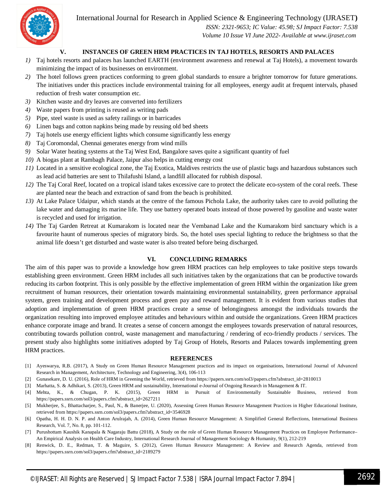International Journal for Research in Applied Science & Engineering Technology (IJRASET**)**



 *ISSN: 2321-9653; IC Value: 45.98; SJ Impact Factor: 7.538 Volume 10 Issue VI June 2022- Available at www.ijraset.com*

#### **V. INSTANCES OF GREEN HRM PRACTICES IN TAJ HOTELS, RESORTS AND PALACES**

- *1)* Taj hotels resorts and palaces has launched EARTH (environment awareness and renewal at Taj Hotels), a movement towards minimizing the impact of its businesses on environment.
- *2)* The hotel follows green practices conforming to green global standards to ensure a brighter tomorrow for future generations. The initiatives under this practices include environmental training for all employees, energy audit at frequent intervals, phased reduction of fresh water consumption etc.
- *3)* Kitchen waste and dry leaves are converted into fertilizers
- *4)* Waste papers from printing is reused as writing pads
- *5)* Pipe, steel waste is used as safety railings or in barricades
- *6)* Linen bags and cotton napkins being made by reusing old bed sheets
- *7)* Taj hotels use energy efficient lights which consume significantly less energy
- *8)* Taj Coromondal, Chennai generates energy from wind mills
- *9)* Solar Water heating systems at the Taj West End, Bangalore saves quite a significant quantity of fuel
- *10)* A biogas plant at Rambagh Palace, Jaipur also helps in cutting energy cost
- *11)* Located in a sensitive ecological zone, the Taj Exotica, Maldives restricts the use of plastic bags and hazardous substances such as lead acid batteries are sent to Thilafushi Island, a landfill allocated for rubbish disposal.
- *12)* The Taj Coral Reef, located on a tropical island takes excessive care to protect the delicate eco-system of the coral reefs. These are planted near the beach and extraction of sand from the beach is prohibited.
- *13)* At Lake Palace Udaipur, which stands at the centre of the famous Pichola Lake, the authority takes care to avoid polluting the lake water and damaging its marine life. They use battery operated boats instead of those powered by gasoline and waste water is recycled and used for irrigation.
- *14)* The Taj Garden Retreat at Kumarakom is located near the Vembanad Lake and the Kumarakom bird sanctuary which is a favourite haunt of numerous species of migratory birds. So, the hotel uses special lighting to reduce the brightness so that the animal life doesn't get disturbed and waste water is also treated before being discharged.

#### **VI. CONCLUDING REMARKS**

The aim of this paper was to provide a knowledge how green HRM practices can help employees to take positive steps towards establishing green environment. Green HRM includes all such initiatives taken by the organizations that can be productive towards reducing its carbon footprint. This is only possible by the effective implementation of green HRM within the organization like green recruitment of human resources, their orientation towards maintaining environmental sustainability, green performance appraisal system, green training and development process and green pay and reward management. It is evident from various studies that adoption and implementation of green HRM practices create a sense of belongingness amongst the individuals towards the organization resulting into improved employee attitudes and behaviours within and outside the organizations. Green HRM practices enhance corporate image and brand. It creates a sense of concern amongst the employees towards preservation of natural resources, contributing towards pollution control, waste management and manufacturing / rendering of eco-friendly products / services. The present study also highlights some initiatives adopted by Taj Group of Hotels, Resorts and Palaces towards implementing green HRM practices.

#### **REFERENCES**

- [1] Ayeswarya, R.B. (2017), A Study on Green Human Resource Management practices and its impact on organisations, International Journal of Advanced Research in Management, Architecture, Technology and Engineering, 3(4), 106-113
- [2] Gunasekare, D. U. (2016), Role of HRM in Greening the World, retrieved from https://papers.ssrn.com/sol3/papers.cfm?abstract\_id=2810013
- [3] Marhatta, S. & Adhikari, S. (2013), Green HRM and sustainability, International e-Journal of Ongoing Research in Management & IT.
- [4] Mehta, K., & Chugan, P. K. (2015), Green HRM in Pursuit of Environmentally Sustainable Business, retrieved from https://papers.ssrn.com/sol3/papers.cfm?abstract\_id=2627211
- [5] Mukherjee, S., Bhattacharjee, S., Paul, N., & Banerjee, U. (2020), Assessing Green Human Resource Management Practices in Higher Educational Institute, retrieved from https://papers.ssrn.com/sol3/papers.cfm?abstract\_id=3546928
- [6] Opatha, H. H. D. N. P. and Anton Arulrajah, A. (2014), Green Human Resource Management: A Simplified General Reflections, International Business Research, Vol. 7, No. 8, pp. 101-112.
- [7] Purushottam Kaushik Kanapala & Nagaraju Battu (2018), A Study on the role of Green Human Resource Management Practices on Employee Performance– An Empirical Analysis on Health Care Industry, International Research Journal of Management Sociology & Humanity, 9(1), 212-219
- [8] Renwick, D. E., Redman, T. & Maguire, S. (2012), Green Human Resource Management: A Review and Research Agenda, retrieved from https://papers.ssrn.com/sol3/papers.cfm?abstract\_id=2189279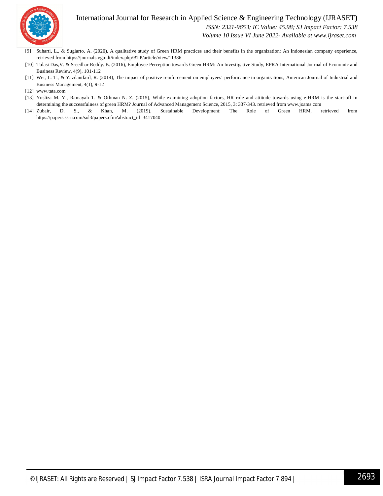

International Journal for Research in Applied Science & Engineering Technology (IJRASET**)**

 *ISSN: 2321-9653; IC Value: 45.98; SJ Impact Factor: 7.538*

 *Volume 10 Issue VI June 2022- Available at www.ijraset.com*

- [9] Suharti, L., & Sugiarto, A. (2020), A qualitative study of Green HRM practices and their benefits in the organization: An Indonesian company experience, retrieved from https://journals.vgtu.lt/index.php/BTP/article/view/11386
- [10] Tulasi Das,V. & Sreedhar Reddy. B. (2016), Employee Perception towards Green HRM: An Investigative Study, EPRA International Journal of Economic and Business Review, 4(9), 101-112
- [11] Wei, L. T., & Yazdanifard, R. (2014), The impact of positive reinforcement on employees' performance in organisations, American Journal of Industrial and Business Management, 4(1), 9-12
- [12] www.tata.com
- [13] Yusliza M. Y., Ramayah T. & Othman N. Z. (2015), While examining adoption factors, HR role and attitude towards using e-HRM is the start-off in determining the successfulness of green HRM? Journal of Advanced Management Science, 2015, 3: 337-343. retrieved from www.joams.com
- [14] Zubair, D. S., & Khan, M. (2019), Sustainable Development: The Role of Green HRM, retrieved from https://papers.ssrn.com/sol3/papers.cfm?abstract\_id=3417040